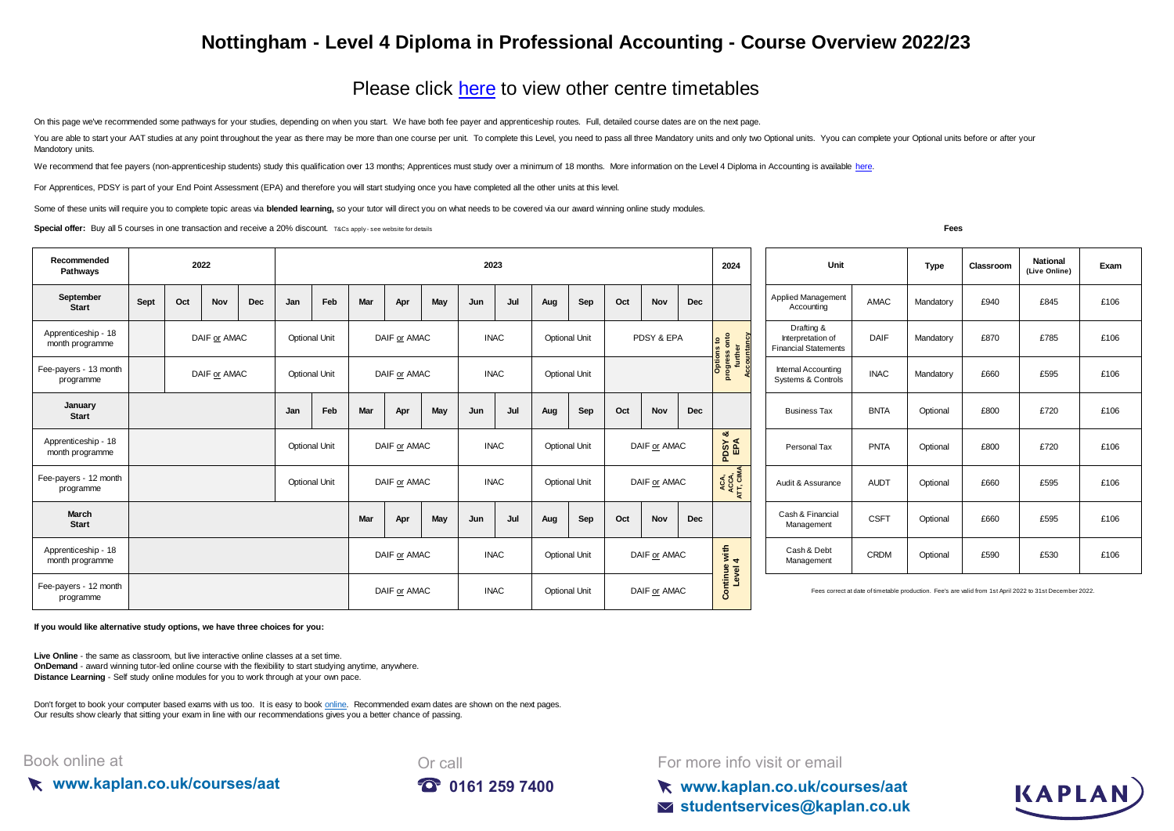## **Nottingham - Level 4 Diploma in Professional Accounting - Course Overview 2022/23**

## [Please click here](https://kaplan.co.uk/courses/timetables/aat) to view other centre timetables

On this page we've recommended some pathways for your studies, depending on when you start. We have both fee payer and apprenticeship routes. Full, detailed course dates are on the next page.

You are able to start your AAT studies at any point throughout the year as there may be more than one course per unit. To complete this Level, you need to pass all three Mandatory units and only two Optional units. You can Mandotory units.

We recommend that fee payers (non-apprenticeship students) study this qualification over 13 months; Apprentices must study over a minimum of 18 months. More information on the Level 4 Diploma in Accounting is available her

For Apprentices, PDSY is part of your End Point Assessment (EPA) and therefore you will start studying once you have completed all the other units at this level.

Some of these units will require you to complete topic areas via **blended learning**, so your tutor will direct you on what needs to be covered via our award winning online study modules.

**Special offer:** Buy all 5 courses in one transaction and receive a 20% discount. T&Cs apply-see website for details

| ۹<br>× | ۰. |  |
|--------|----|--|
|        |    |  |

KAPLAN

| Recommended<br>Pathways                | 2022         |     |     |                                      |     |                             |                                     | 2023                 |                                      |                                     |                                             |                                                                |              |                   |                                 |                                                                                                          | 2024        | Unit                             | Type        | Classroom | <b>National</b><br>(Live Online) | Exam |      |
|----------------------------------------|--------------|-----|-----|--------------------------------------|-----|-----------------------------|-------------------------------------|----------------------|--------------------------------------|-------------------------------------|---------------------------------------------|----------------------------------------------------------------|--------------|-------------------|---------------------------------|----------------------------------------------------------------------------------------------------------|-------------|----------------------------------|-------------|-----------|----------------------------------|------|------|
| September<br><b>Start</b>              | Sept         | Oct | Nov | Dec                                  | Jan | Feb                         | Mar                                 | Apr                  | May                                  | Jun                                 | Jul                                         | Aug                                                            | Sep          | Oct               | Nov                             | Dec                                                                                                      |             | Applied Management<br>Accounting | AMAC        | Mandatory | £940                             | £845 | £106 |
| Apprenticeship - 18<br>month programme | DAIF or AMAC |     |     | DAIF or AMAC<br><b>Optional Unit</b> |     |                             | <b>INAC</b><br><b>Optional Unit</b> |                      | PDSY & EPA                           |                                     | onto<br>$\mathbf{e}$<br>further<br>countand | Drafting &<br>Interpretation of<br><b>Financial Statements</b> | <b>DAIF</b>  | Mandatory         | £870                            | £785                                                                                                     | £106        |                                  |             |           |                                  |      |      |
| Fee-payers - 13 month<br>programme     | DAIF or AMAC |     |     | <b>Optional Unit</b>                 |     |                             | DAIF or AMAC                        |                      |                                      | <b>INAC</b>                         |                                             | <b>Optional Unit</b>                                           |              |                   | Options<br><b>Continue</b><br>효 | Internal Accounting<br>Systems & Controls                                                                | <b>INAC</b> | Mandatory                        | £660        | £595      | £106                             |      |      |
| January<br><b>Start</b>                |              |     |     |                                      | Jan | Feb                         | Mar                                 | Apr                  | May                                  | Jun                                 | Jul                                         | Aug                                                            | Sep          | Oct               | <b>Nov</b>                      | Dec                                                                                                      |             | <b>Business Tax</b>              | <b>BNTA</b> | Optional  | £800                             | £720 | £106 |
| Apprenticeship - 18<br>month programme |              |     |     | DAIF or AMAC<br><b>Optional Unit</b> |     | <b>INAC</b>                 |                                     | <b>Optional Unit</b> |                                      | DAIF or AMAC                        |                                             | ಹ<br>PDSY<br>EPA                                               | Personal Tax | <b>PNTA</b>       | Optional                        | £800                                                                                                     | £720        | £106                             |             |           |                                  |      |      |
| Fee-payers - 12 month<br>programme     |              |     |     | <b>Optional Unit</b>                 |     | DAIF or AMAC<br><b>INAC</b> |                                     |                      | DAIF or AMAC<br><b>Optional Unit</b> |                                     | ACA,<br>ACCA,<br>ATT, CIMA                  | Audit & Assurance                                              | <b>AUDT</b>  | Optional          | £660                            | £595                                                                                                     | £106        |                                  |             |           |                                  |      |      |
| March<br><b>Start</b>                  |              |     |     |                                      |     |                             | Mar                                 | Apr                  | May                                  | Jun                                 | Jul                                         | Aug                                                            | Sep          | Oct               | Nov                             | Dec                                                                                                      |             | Cash & Financial<br>Management   | <b>CSFT</b> | Optional  | £660                             | £595 | £106 |
| Apprenticeship - 18<br>month programme |              |     |     |                                      |     |                             | DAIF or AMAC                        |                      |                                      | <b>INAC</b><br><b>Optional Unit</b> |                                             |                                                                | DAIF or AMAC |                   | with $4$                        | Cash & Debt<br>Management                                                                                | <b>CRDM</b> | Optional                         | £590        | £530      | £106                             |      |      |
| Fee-payers - 12 month<br>programme     |              |     |     |                                      |     |                             | DAIF or AMAC                        |                      |                                      | <b>INAC</b>                         |                                             | <b>Optional Unit</b><br>DAIF or AMAC                           |              | Continue<br>Level |                                 | Fees correct at date of timetable production. Fee's are valid from 1st April 2022 to 31st December 2022. |             |                                  |             |           |                                  |      |      |

**If you would like alternative study options, we have three choices for you:**

**Live Online** - the same as classroom, but live interactive online classes at a set time. **OnDemand** - award winning tutor-led online course with the flexibility to start studying anytime, anywhere. **Distance Learning** - Self study online modules for you to work through at your own pace.

[Don't forget to book your computer based exams with us too. It is easy to book online.](https://kaplan.co.uk/exams) Recommended exam dates are shown on the next pages. [Our results show clearly th](https://kaplan.co.uk/exams)at sitting your exam in line with our recommendations gives you a better chance of passing.

## Book online at





For more info visit or email

**www.kaplan.co.uk/courses/aat studentservices@kaplan.co.uk**